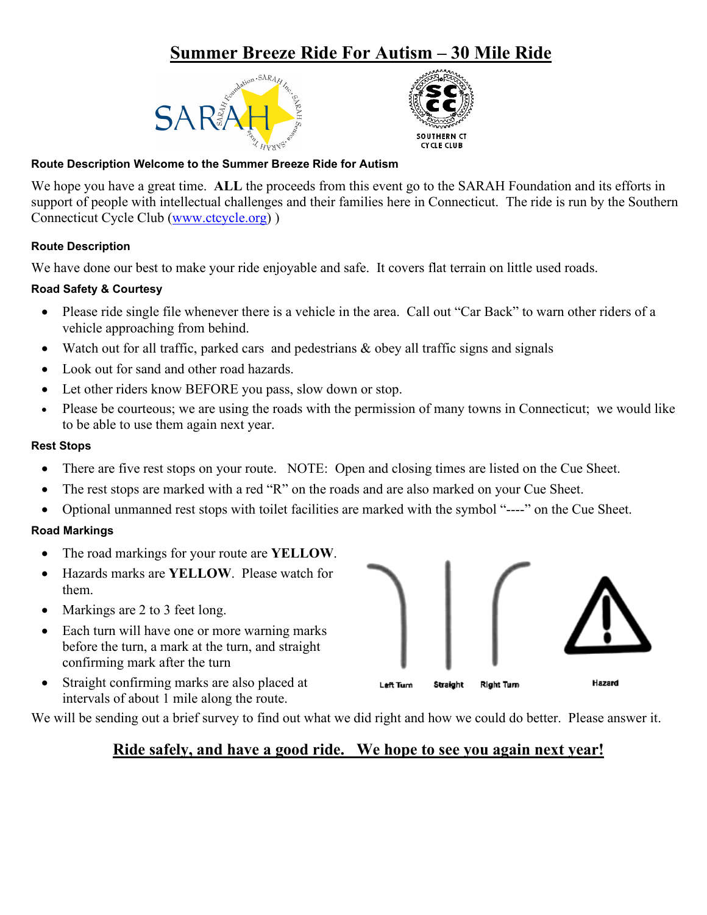# **Summer Breeze Ride For Autism – 30 Mile Ride**





#### **Route Description Welcome to the Summer Breeze Ride for Autism**

We hope you have a great time. **ALL** the proceeds from this event go to the SARAH Foundation and its efforts in support of people with intellectual challenges and their families here in Connecticut. The ride is run by the Southern Connecticut Cycle Club [\(www.ctcycle.org\)](http://www.ctcycle.org/) )

#### **Route Description**

We have done our best to make your ride enjoyable and safe. It covers flat terrain on little used roads.

## **Road Safety & Courtesy**

- Please ride single file whenever there is a vehicle in the area. Call out "Car Back" to warn other riders of a vehicle approaching from behind.
- Watch out for all traffic, parked cars and pedestrians & obey all traffic signs and signals
- Look out for sand and other road hazards.
- Let other riders know BEFORE you pass, slow down or stop.
- Please be courteous; we are using the roads with the permission of many towns in Connecticut; we would like to be able to use them again next year.

#### **Rest Stops**

- There are five rest stops on your route. NOTE: Open and closing times are listed on the Cue Sheet.
- The rest stops are marked with a red "R" on the roads and are also marked on your Cue Sheet.
- Optional unmanned rest stops with toilet facilities are marked with the symbol "----" on the Cue Sheet.

## **Road Markings**

- The road markings for your route are **YELLOW**.
- Hazards marks are **YELLOW**. Please watch for them.
- Markings are 2 to 3 feet long.
- Each turn will have one or more warning marks before the turn, a mark at the turn, and straight confirming mark after the turn
- Straight confirming marks are also placed at intervals of about 1 mile along the route.

We will be sending out a brief survey to find out what we did right and how we could do better. Please answer it.

## **Ride safely, and have a good ride. We hope to see you again next year!**